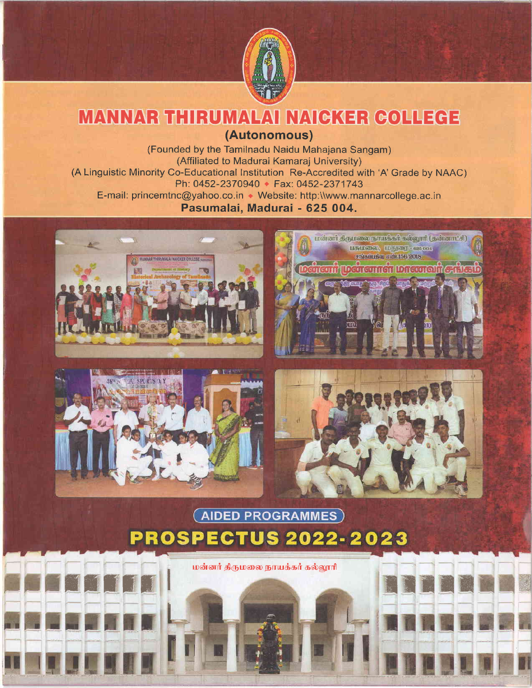

# MANNAR THIRUMALAI NAICKER COLLEGE

(Autonomous)

(Founded by the Tamilnadu Naidu Mahajana Sangam) (Affiliated to Madurai Kamaraj University) (A Linguistic Minority Co-Educational Institution Re-Accredited with 'A' Grade by NAAC) Ph: 0452-2370940 + Fax: 0452-2371743 E-mail: princemtnc@yahoo.co.in • Website: http:\\www.mannarcollege.ac.in Pasumalai, Madurai - 625 004.









# **AIDED PROGRAMMES PROSPECTUS 2022-2023**

மன்னர் திருமலை நாயக்கர் கல்லூரி

 $f_{\rm eff}$  for  $f_{\rm eff}$  in the contract  $f_{\rm eff}$  and  $f_{\rm eff}$  are  $f_{\rm eff}$  in the contract of  $f_{\rm eff}$  and  $f_{\rm eff}$  are  $f_{\rm eff}$  and  $f_{\rm eff}$  are  $f_{\rm eff}$  and  $f_{\rm eff}$  are  $f_{\rm eff}$  and  $f_{\rm eff}$  are  $f_{\rm eff}$  and  $f_{\rm eff}$  are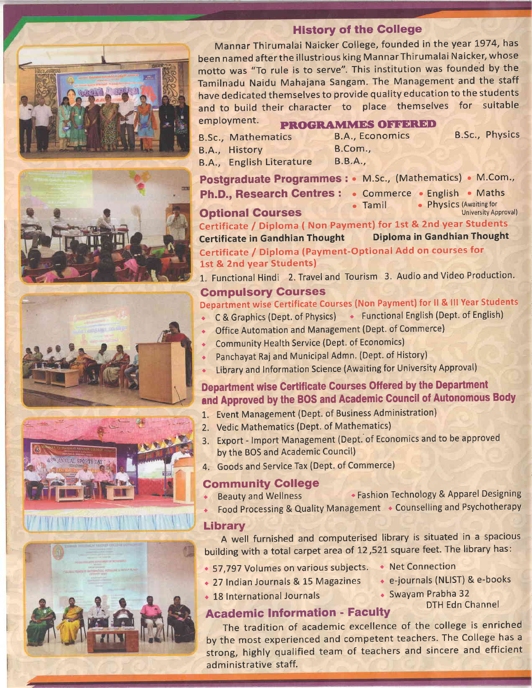







## History of the Gollege

Mannar Thirumalai Naicker College, founded in the year 1974, has been named after the illustrious king Mannar Thirumalai Naicker, whose motto was "To rule is to serve". This institution was founded by the Tamilnadu Naidu Mahajana Sangam. The Management and the staff have dedicated themselves to provide quality education to the students and to build their character to place themselves for suitable employment. PROGRAMMES OFFERED

B.Sc., Mathematics B.A., Economics B.Sc., Physics B.A., History 8.A., English Literature

8.A., Economics B.Com., B.B.A.,

Postgraduate Programmes : . M.Sc., (Mathematics) . M.Com. Ph.D., Research Centres : . Commerce . English . Maths

**Optional Courses • Tamil** • Physics (Awaiting for<br>University Approval) Certificate / Diploma ( Non Payment) for 1st & 2nd year Students<br>Certificate in Gandhian Thought Diploma in Gandhian Thought **Diploma in Gandhian Thought** 

Certificate / Diploma (Payment-Optional Add on courses for 1st & 2nd year Students)

1. Functional Hindi 2. Travel and Tourism 3. Audio and Video Production.

## Gompulsory Gourses

# Department wise Certificate Courses (Non Payment) for ll & lll Year Students

- C & Graphics (Dept. of Physics) Functional English (Dept. of English)
- Office Automation and Management (Dept. of Commerce)
- Community Health Service (Dept. of Economics)
- Panchayat Raj and Municipal Admn. (Dept. of History)
- **EXECT:** Library and Information Science (Awaiting for University Approval)

# Department wise Certificate Courses Offered by the Department and Approved by the BOS and Academic Gouncil of Autonomous Body

- 1. Event Management (Dept. of Business Administration)
- 2. Vedic Mathernatics (Dept. of Mathematics)
- 3. Export lmport Management (Dept. of Economics and to be approved by the BOS and Academic Council)
- 4. Goods and Service Tax (Dept. of Commerce)

# Community College

- Beauty and Wellness **reasonal Fashion Technology & Apparel Designing**
- Food Processing & Quality Management . Counselling and Psychotherapy

## Library

A well furnished and computerised library is situated in a spacious building with a total carpet area of 12,521 square feet. The library has:

- 57,797 Volumes on various subjects. Net Connection
- 27 Indian Journals & 15 Magazines e-journals (NLIST) & e-books
- 
- 

DTH Edn Channel

• 18 International Journals • Swayam Prabha 32

# **Academic Information - Faculty**

The tradition of academic excellence of the college is enriched by the most experienced and competent teachers. The College has <sup>a</sup> strong, highly qualified team of teachers and sincere and efficient administrative staff.

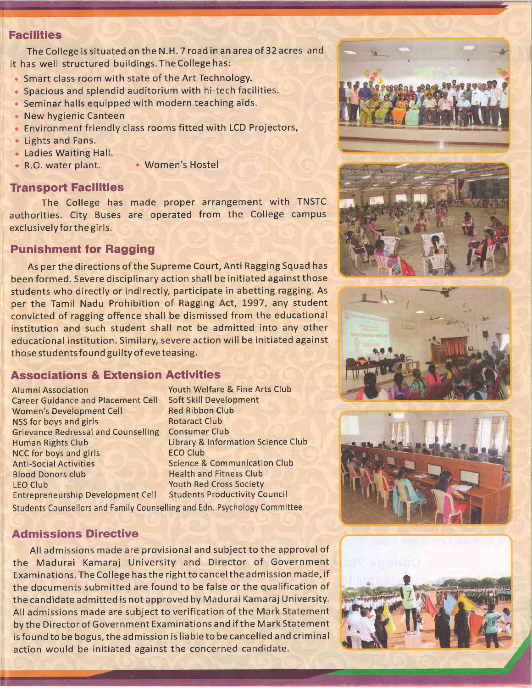#### **Facilities**

The College is situated on the N.H.7 road in an area of 32 acres and it has well structured buildings.TheCollegehas:

- Smart class room with state of the Art Technology.
- $\bullet$  Spacious and splendid auditorium with hi-tech facilities.
- $\bullet$  Seminar halls equipped with modern teaching aids.
- New hygienic Canteen
- $\bullet$  Environment friendly class rooms fitted with LCD Projectors,
- Lights and Fans.
- Ladies Waiting Hall. a
- 
- R.O. water plant. Women's Hostel

#### **Transport Facilities**

The College has made proper arrangement with TNSTC authorities. City Buses are operated from the College campus exclusively for the girls.

#### Punishment for Ragging

As per the directions of the Supreme Court, Anti Ragging Squad has been formed. Severe disciplinary action shall be initiated against those students who directly or indirectly, participate in abetting ragging. As per the Tamil Nadu Prohibition of Ragging Act, 1997, any student convicted of ragging offence shall be dismissed from the educational institution and such student shall not be admitted into any other educational institution. Similary, severe action will be initiated against those students found guilty of eve teasing.

### Associations & Extension Activities

Alumni Association Vouth Welfare & Fine Arts Club<br>Career Guidance and Placement Cell Soft Skill Development Career Guidance and Placement Cell Women's Development Cell NSS for boys and girls Grievance Redressal and Counselling Consumer Club Human Rights Club NCC for boys and girls **Anti-Social Activities** Blood Donors club LEO Club Entrepreneurship Development Cell Students Productivity Council

Red Ribbon Club Rotaract Club Library & Information Science Club ECO Club Science & Communication Club Health and Fitness Club Youth Red Cross Society

Students Counsellors and Family Counselling and Edn. Psychology Committee

#### **Admissions Directive**

All admissions made are provisional and subject to the approval of the Madurai Kamaraj University and Director of Government Examinations. The College has the rightto cancelthe admission made, if the documents submitted are found to be false or the qualification of the candidate admitted is not approved by Madurai Kamaraj University. All admissions made are subject to verification of the Mark Statement by the Director of Government Examinations and if the Mark Statement is found to be bogus, the admission is liable to be cancelled and criminal action would be initiated against the concerned candidate.